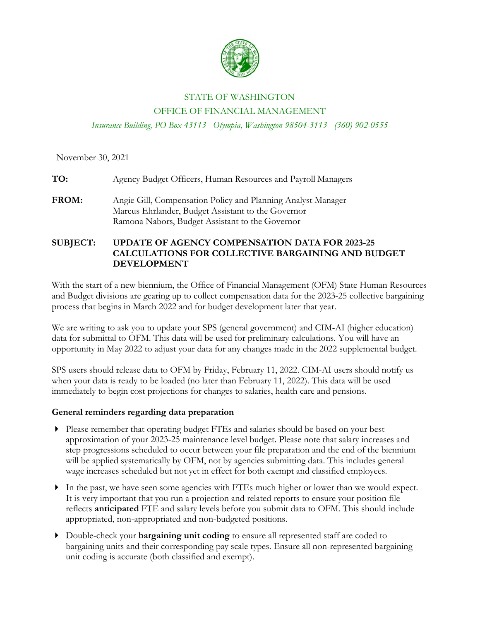

#### STATE OF WASHINGTON

#### OFFICE OF FINANCIAL MANAGEMENT

*Insurance Building, PO Box 43113 Olympia, Washington 98504-3113 (360) 902-0555*

November 30, 2021

**TO:** Agency Budget Officers, Human Resources and Payroll Managers

**FROM:** Angie Gill, Compensation Policy and Planning Analyst Manager Marcus Ehrlander, Budget Assistant to the Governor Ramona Nabors, Budget Assistant to the Governor

## **SUBJECT: UPDATE OF AGENCY COMPENSATION DATA FOR 2023-25 CALCULATIONS FOR COLLECTIVE BARGAINING AND BUDGET DEVELOPMENT**

With the start of a new biennium, the Office of Financial Management (OFM) State Human Resources and Budget divisions are gearing up to collect compensation data for the 2023-25 collective bargaining process that begins in March 2022 and for budget development later that year.

We are writing to ask you to update your SPS (general government) and CIM-AI (higher education) data for submittal to OFM. This data will be used for preliminary calculations. You will have an opportunity in May 2022 to adjust your data for any changes made in the 2022 supplemental budget.

SPS users should release data to OFM by Friday, February 11, 2022. CIM-AI users should notify us when your data is ready to be loaded (no later than February 11, 2022). This data will be used immediately to begin cost projections for changes to salaries, health care and pensions.

## **General reminders regarding data preparation**

- Please remember that operating budget FTEs and salaries should be based on your best approximation of your 2023-25 maintenance level budget. Please note that salary increases and step progressions scheduled to occur between your file preparation and the end of the biennium will be applied systematically by OFM, not by agencies submitting data. This includes general wage increases scheduled but not yet in effect for both exempt and classified employees.
- In the past, we have seen some agencies with FTEs much higher or lower than we would expect. It is very important that you run a projection and related reports to ensure your position file reflects **anticipated** FTE and salary levels before you submit data to OFM. This should include appropriated, non-appropriated and non-budgeted positions.
- Double-check your **bargaining unit coding** to ensure all represented staff are coded to bargaining units and their corresponding pay scale types. Ensure all non-represented bargaining unit coding is accurate (both classified and exempt).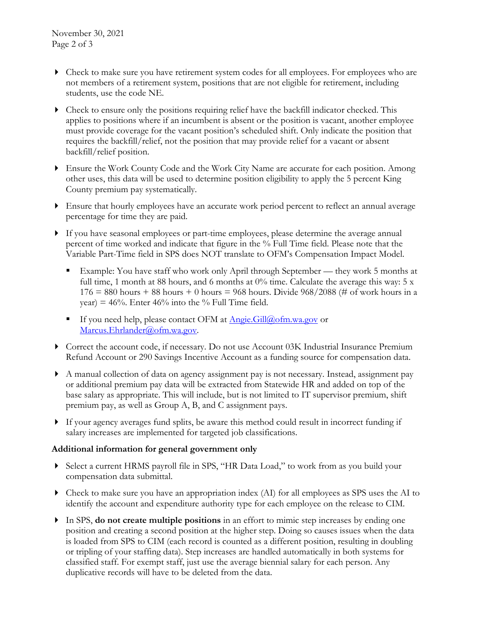- Check to make sure you have retirement system codes for all employees. For employees who are not members of a retirement system, positions that are not eligible for retirement, including students, use the code NE.
- Check to ensure only the positions requiring relief have the backfill indicator checked. This applies to positions where if an incumbent is absent or the position is vacant, another employee must provide coverage for the vacant position's scheduled shift. Only indicate the position that requires the backfill/relief, not the position that may provide relief for a vacant or absent backfill/relief position.
- Ensure the Work County Code and the Work City Name are accurate for each position. Among other uses, this data will be used to determine position eligibility to apply the 5 percent King County premium pay systematically.
- Ensure that hourly employees have an accurate work period percent to reflect an annual average percentage for time they are paid.
- If you have seasonal employees or part-time employees, please determine the average annual percent of time worked and indicate that figure in the % Full Time field. Please note that the Variable Part-Time field in SPS does NOT translate to OFM's Compensation Impact Model.
	- Example: You have staff who work only April through September they work 5 months at full time, 1 month at 88 hours, and 6 months at  $0\%$  time. Calculate the average this way: 5 x  $176 = 880$  hours + 88 hours + 0 hours = 968 hours. Divide 968/2088 (# of work hours in a year) =  $46\%$ . Enter  $46\%$  into the % Full Time field.
	- If you need help, please contact OFM at  $\text{Angle.Gill@ofm.wa.gov}$  or [Marcus.Ehrlander@ofm.wa.gov.](mailto:Marcus.Ehrlander@ofm.wa.gov)
- Correct the account code, if necessary. Do not use Account 03K Industrial Insurance Premium Refund Account or 290 Savings Incentive Account as a funding source for compensation data.
- A manual collection of data on agency assignment pay is not necessary. Instead, assignment pay or additional premium pay data will be extracted from Statewide HR and added on top of the base salary as appropriate. This will include, but is not limited to IT supervisor premium, shift premium pay, as well as Group A, B, and C assignment pays.
- If your agency averages fund splits, be aware this method could result in incorrect funding if salary increases are implemented for targeted job classifications.

## **Additional information for general government only**

- Select a current HRMS payroll file in SPS, "HR Data Load," to work from as you build your compensation data submittal.
- Check to make sure you have an appropriation index (AI) for all employees as SPS uses the AI to identify the account and expenditure authority type for each employee on the release to CIM.
- In SPS, **do not create multiple positions** in an effort to mimic step increases by ending one position and creating a second position at the higher step. Doing so causes issues when the data is loaded from SPS to CIM (each record is counted as a different position, resulting in doubling or tripling of your staffing data). Step increases are handled automatically in both systems for classified staff. For exempt staff, just use the average biennial salary for each person. Any duplicative records will have to be deleted from the data.